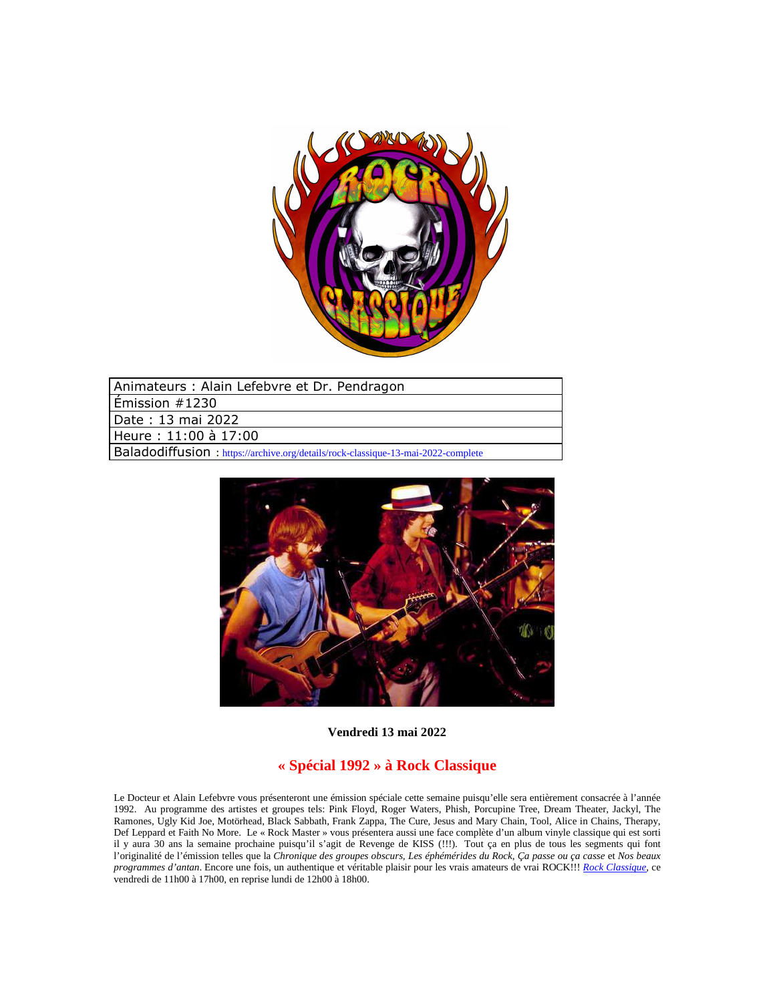

| Animateurs: Alain Lefebvre et Dr. Pendragon                                       |
|-----------------------------------------------------------------------------------|
| $ $ Émission #1230                                                                |
| Date : 13 mai 2022                                                                |
| Heure: 11:00 à 17:00                                                              |
| Baladodiffusion : https://archive.org/details/rock-classique-13-mai-2022-complete |



**Vendredi 13 mai 2022**

## **« Spécial 1992 » à Rock Classique**

Le Docteur et Alain Lefebvre vous présenteront une émission spéciale cette semaine puisqu'elle sera entièrement consacrée à l'année 1992. Au programme des artistes et groupes tels: Pink Floyd, Roger Waters, Phish, Porcupine Tree, Dream Theater, Jackyl, The Ramones, Ugly Kid Joe, Motörhead, Black Sabbath, Frank Zappa, The Cure, Jesus and Mary Chain, Tool, Alice in Chains, Therapy, Def Leppard et Faith No More. Le « Rock Master » vous présentera aussi une face complète d'un album vinyle classique qui est sorti il y aura 30 ans la semaine prochaine puisqu'il s'agit de Revenge de KISS (!!!). Tout ça en plus de tous les segments qui font l'originalité de l'émission telles que la *Chronique des groupes obscurs, Les éphémérides du Rock*, *Ça passe ou ça casse* et *Nos beaux programmes d'antan*. Encore une fois, un authentique et véritable plaisir pour les vrais amateurs de vrai ROCK!!! *Rock Classique*, ce vendredi de 11h00 à 17h00, en reprise lundi de 12h00 à 18h00.